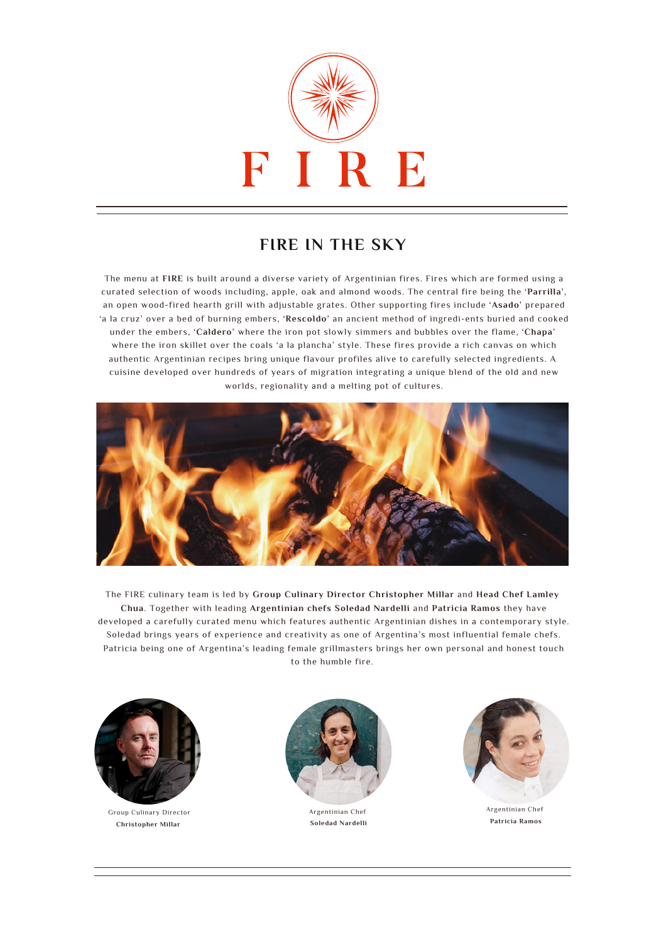

## **FIRE IN THE SKY**

The menu at **FIRE** is built around a diverse variety of Argentinian fires. Fires which are formed using a curated selection of woods including, apple, oak and almond woods. The central fire being the **'Parrilla'**, an open wood-fired hearth grill with adjustable grates. Other supporting fires include **'Asado'** prepared 'a la cruz' over a bed of burning embers, **'Rescoldo'** an ancient method of ingredi-ents buried and cooked under the embers, **'Caldero'** where the iron pot slowly simmers and bubbles over the flame, **'Chapa'** where the iron skillet over the coals 'a la plancha' style. These fires provide a rich canvas on which authentic Argentinian recipes bring unique flavour profiles alive to carefully selected ingredients. A cuisine developed over hundreds of years of migration integrating a unique blend of the old and new worlds, regionality and a melting pot of cultures.



The FIRE culinary team is led by **Group Culinary Director Christopher Millar** and **Head Chef Lamley Chua**. Together with leading **Argentinian chefs Soledad Nardelli** and **Patricia Ramos** they have developed a carefully curated menu which features authentic Argentinian dishes in a contemporary style. Soledad brings years of experience and creativity as one of Argentina's most influential female chefs. Patricia being one of Argentina's leading female grillmasters brings her own personal and honest touch to the humble fire.



Group Culinary Director **Christopher Millar**



Argentinian Chef **Soledad Nardelli**



Argentinian Chef **Patricia Ramos**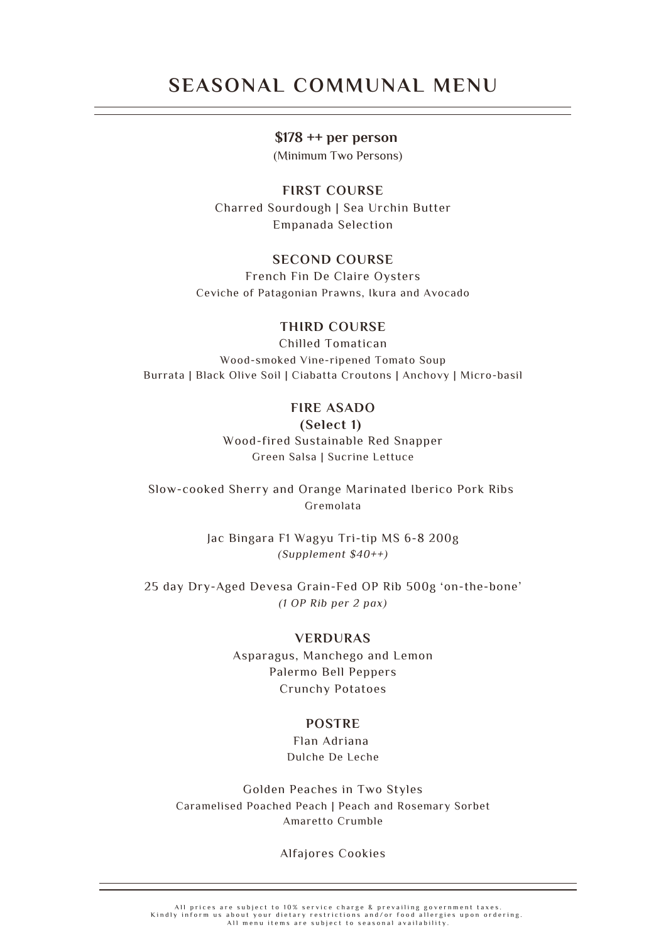## **SEASONAL COMMUNAL MENU**

### **\$178 ++ per person**

(Minimum Two Persons)

**FIRST COURSE** Charred Sourdough | Sea Urchin Butter Empanada Selection

### **SECOND COURSE**

French Fin De Claire Oysters Ceviche of Patagonian Prawns, Ikura and Avocado

### **THIRD COURSE**

Chilled Tomatican Wood-smoked Vine-ripened Tomato Soup Burrata | Black Olive Soil | Ciabatta Croutons | Anchovy | Micro-basil

### **FIRE ASADO**

**(Select 1)** Wood-fired Sustainable Red Snapper Green Salsa | Sucrine Lettuce

Slow-cooked Sherry and Orange Marinated Iberico Pork Ribs Gremolata

> Jac Bingara F1 Wagyu Tri-tip MS 6-8 200g *(Supplement \$40++)*

25 day Dry-Aged Devesa Grain-Fed OP Rib 500g 'on-the-bone' *(1 OP Rib per 2 pax)*

#### **VERDURAS**

Asparagus, Manchego and Lemon Palermo Bell Peppers Crunchy Potatoes

### **POSTRE**

Flan Adriana Dulche De Leche

Golden Peaches in Two Styles Caramelised Poached Peach | Peach and Rosemary Sorbet Amaretto Crumble

Alfajores Cookies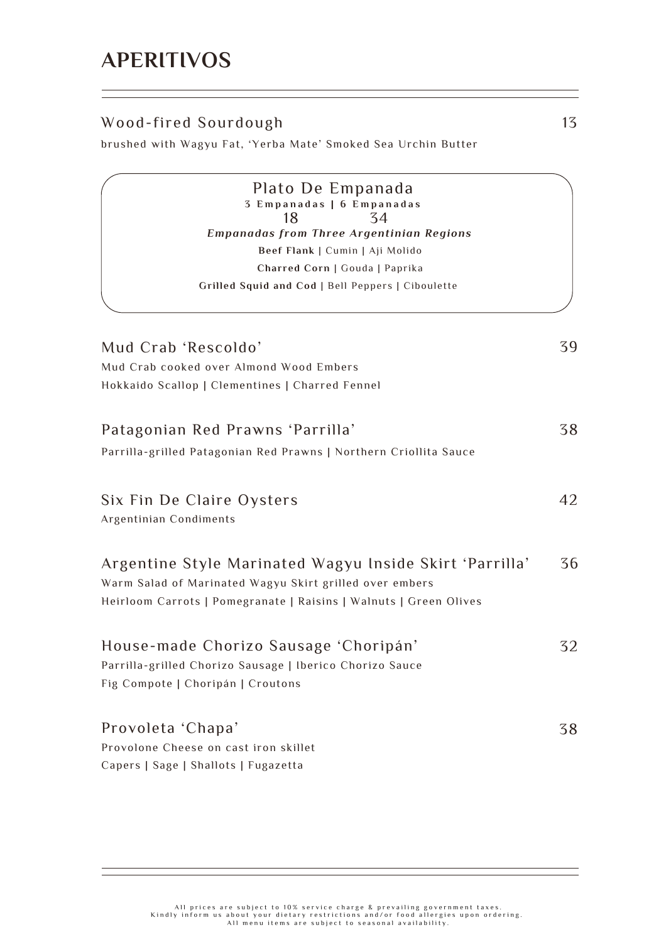## Wood-fired Sourdough

brushed with Wagyu Fat, 'Yerba Mate' Smoked Sea Urchin Butter

Provolone Cheese on cast iron skillet Capers | Sage | Shallots | Fugazetta Parrilla-grilled Chorizo Sausage | Iberico Chorizo Sauce Fig Compote | Choripán | Croutons Parrilla-grilled Patagonian Red Prawns | Northern Criollita Sauce Warm Salad of Marinated Wagyu Skirt grilled over embers Heirloom Carrots | Pomegranate | Raisins | Walnuts | Green Olives Mud Crab cooked over Almond Wood Embers Hokkaido Scallop | Clementines | Charred Fennel *Empanadas from Three Argentinian Regions* **Beef Flank** | Cumin | Aji Molido **Charred Corn** | Gouda | Paprika **Grilled Squid and Cod** | Bell Peppers | Ciboulette Provoleta 'Chapa' Mud Crab 'Rescoldo' 18 Patagonian Red Prawns 'Parrilla' 34 House-made Chorizo Sausage 'Choripán' Argentine Style Marinated Wagyu Inside Skirt 'Parrilla' 38 38 39 32 36 Plato De Empanada **3 E m p a n a d a s | 6 E m p a n a d a s** Six Fin De Claire Oysters Argentinian Condiments 42

> All prices are subject to 10% service charge & prevailing government taxes Kindly inform us about your dietary restrictions and/or food allergies upon ordering.<br>All menu items are subject to seasonal availability.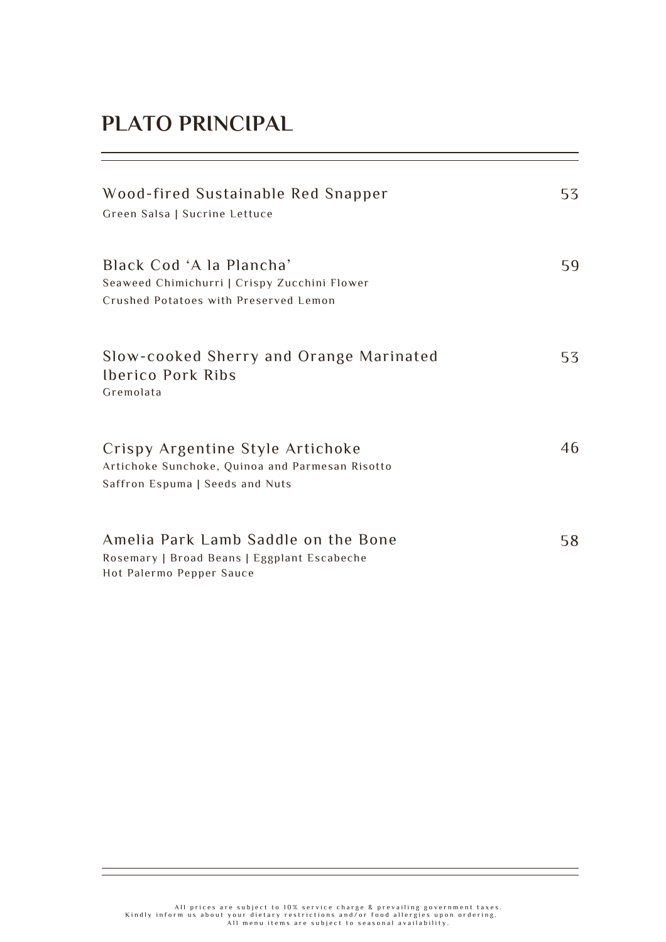# **PLATO PRINCIPAL**

| Wood-fired Sustainable Red Snapper<br>Green Salsa   Sucrine Lettuce                                                    | 53 |
|------------------------------------------------------------------------------------------------------------------------|----|
| Black Cod 'A la Plancha'<br>Seaweed Chimichurri   Crispy Zucchini Flower<br>Crushed Potatoes with Preserved Lemon      | 59 |
| Slow-cooked Sherry and Orange Marinated<br><b>Iberico Pork Ribs</b><br>Gremolata                                       | 53 |
| Crispy Argentine Style Artichoke<br>Artichoke Sunchoke, Quinoa and Parmesan Risotto<br>Saffron Espuma   Seeds and Nuts | 46 |
| Amelia Park Lamb Saddle on the Bone<br>Rosemary   Broad Beans   Eggplant Escabeche<br>Hot Palermo Pepper Sauce         | 58 |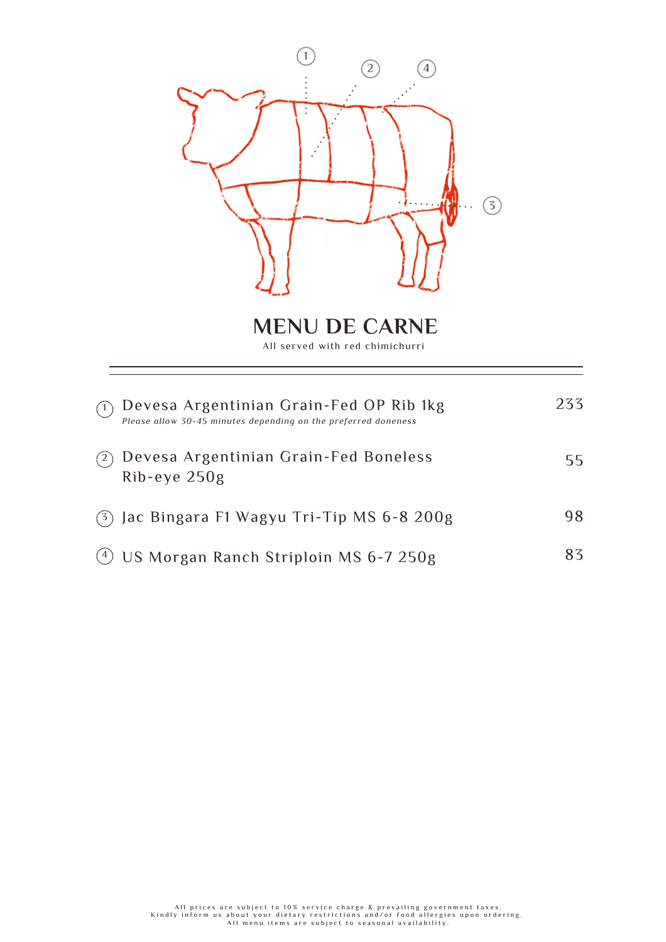

**MENU DE CARNE**

All served with red chimichurri

|     | Devesa Argentinian Grain-Fed OP Rib 1kg<br>Please allow 30-45 minutes depending on the preferred doneness | 233. |
|-----|-----------------------------------------------------------------------------------------------------------|------|
|     | Devesa Argentinian Grain-Fed Boneless<br>$Rib$ -eye $250g$                                                | 55.  |
|     | $(3)$ Jac Bingara F1 Wagyu Tri-Tip MS 6-8 200g                                                            | 98   |
| (4) | US Morgan Ranch Striploin MS 6-7 250g                                                                     | 83   |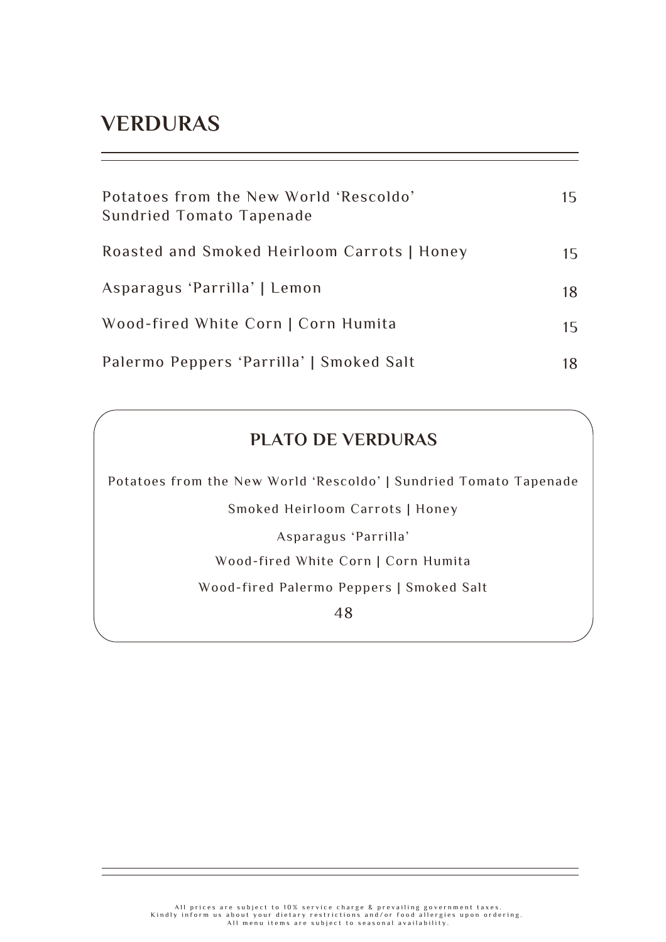## **VERDURAS**

| Potatoes from the New World 'Rescoldo'<br>Sundried Tomato Tapenade | 15 |
|--------------------------------------------------------------------|----|
| Roasted and Smoked Heirloom Carrots   Honey                        | 15 |
| Asparagus 'Parrilla'   Lemon                                       | 18 |
| Wood-fired White Corn   Corn Humita                                | 15 |
| Palermo Peppers 'Parrilla'   Smoked Salt                           | 18 |

## **PLATO DE VERDURAS**

Potatoes from the New World 'Rescoldo' | Sundried Tomato Tapenade

Smoked Heirloom Carrots | Honey

Asparagus 'Parrilla'

Wood-fired White Corn | Corn Humita

Wood-fired Palermo Peppers | Smoked Salt

48